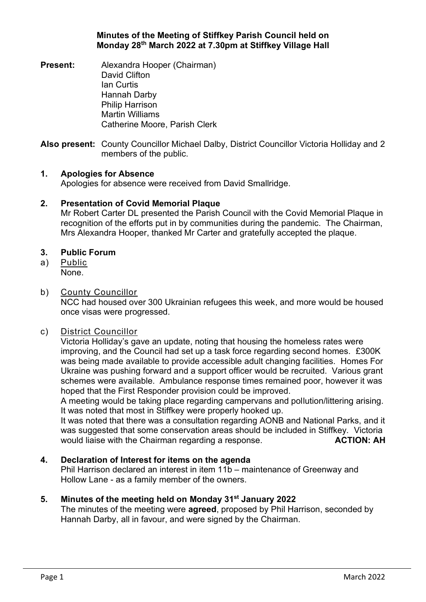#### **Minutes of the Meeting of Stiffkey Parish Council held on Monday 28th March 2022 at 7.30pm at Stiffkey Village Hall**

**Present:** Alexandra Hooper (Chairman) David Clifton Ian Curtis Hannah Darby Philip Harrison Martin Williams Catherine Moore, Parish Clerk

**Also present:** County Councillor Michael Dalby, District Councillor Victoria Holliday and 2 members of the public.

#### **1. Apologies for Absence**

Apologies for absence were received from David Smallridge.

### **2. Presentation of Covid Memorial Plaque**

Mr Robert Carter DL presented the Parish Council with the Covid Memorial Plaque in recognition of the efforts put in by communities during the pandemic. The Chairman, Mrs Alexandra Hooper, thanked Mr Carter and gratefully accepted the plaque.

#### **3. Public Forum**

a) Public None.

#### b) County Councillor

NCC had housed over 300 Ukrainian refugees this week, and more would be housed once visas were progressed.

#### c) District Councillor

Victoria Holliday's gave an update, noting that housing the homeless rates were improving, and the Council had set up a task force regarding second homes. £300K was being made available to provide accessible adult changing facilities. Homes For Ukraine was pushing forward and a support officer would be recruited. Various grant schemes were available. Ambulance response times remained poor, however it was hoped that the First Responder provision could be improved.

A meeting would be taking place regarding campervans and pollution/littering arising. It was noted that most in Stiffkey were properly hooked up.

It was noted that there was a consultation regarding AONB and National Parks, and it was suggested that some conservation areas should be included in Stiffkey. Victoria would liaise with the Chairman regarding a response. **ACTION: AH** 

# **4. Declaration of Interest for items on the agenda**

Phil Harrison declared an interest in item 11b – maintenance of Greenway and Hollow Lane - as a family member of the owners.

# **5. Minutes of the meeting held on Monday 31st January 2022**

The minutes of the meeting were **agreed**, proposed by Phil Harrison, seconded by Hannah Darby, all in favour, and were signed by the Chairman.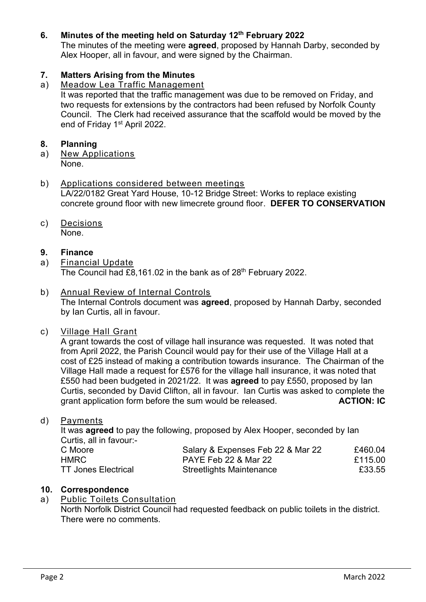# **6. Minutes of the meeting held on Saturday 12th February 2022**

The minutes of the meeting were **agreed**, proposed by Hannah Darby, seconded by Alex Hooper, all in favour, and were signed by the Chairman.

# **7. Matters Arising from the Minutes**

# a) Meadow Lea Traffic Management

It was reported that the traffic management was due to be removed on Friday, and two requests for extensions by the contractors had been refused by Norfolk County Council. The Clerk had received assurance that the scaffold would be moved by the end of Friday 1<sup>st</sup> April 2022.

## **8. Planning**

a) New Applications None.

#### b) Applications considered between meetings LA/22/0182 Great Yard House, 10-12 Bridge Street: Works to replace existing concrete ground floor with new limecrete ground floor. **DEFER TO CONSERVATION**

# c) Decisions

None.

### **9. Finance**

a) Financial Update The Council had £8,161.02 in the bank as of 28<sup>th</sup> February 2022.

### b) Annual Review of Internal Controls

The Internal Controls document was **agreed**, proposed by Hannah Darby, seconded by Ian Curtis, all in favour.

# c) Village Hall Grant

A grant towards the cost of village hall insurance was requested. It was noted that from April 2022, the Parish Council would pay for their use of the Village Hall at a cost of £25 instead of making a contribution towards insurance. The Chairman of the Village Hall made a request for £576 for the village hall insurance, it was noted that £550 had been budgeted in 2021/22. It was **agreed** to pay £550, proposed by Ian Curtis, seconded by David Clifton, all in favour. Ian Curtis was asked to complete the grant application form before the sum would be released. **ACTION: IC**

#### d) Payments

It was **agreed** to pay the following, proposed by Alex Hooper, seconded by Ian Curtis, all in favour:-

| C Moore                    | Salary & Expenses Feb 22 & Mar 22 | £460.04 |
|----------------------------|-----------------------------------|---------|
| HMRC                       | PAYE Feb 22 & Mar 22              | £115.00 |
| <b>TT Jones Electrical</b> | <b>Streetlights Maintenance</b>   | £33.55  |

# **10. Correspondence**

# a) Public Toilets Consultation

North Norfolk District Council had requested feedback on public toilets in the district. There were no comments.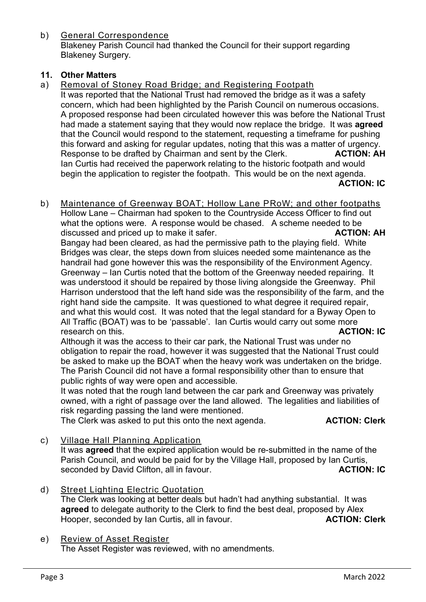b) General Correspondence Blakeney Parish Council had thanked the Council for their support regarding Blakeney Surgery.

# **11. Other Matters**

a) Removal of Stoney Road Bridge; and Registering Footpath It was reported that the National Trust had removed the bridge as it was a safety concern, which had been highlighted by the Parish Council on numerous occasions. A proposed response had been circulated however this was before the National Trust had made a statement saying that they would now replace the bridge. It was **agreed**  that the Council would respond to the statement, requesting a timeframe for pushing this forward and asking for regular updates, noting that this was a matter of urgency. Response to be drafted by Chairman and sent by the Clerk. **ACTION: AH** Ian Curtis had received the paperwork relating to the historic footpath and would begin the application to register the footpath. This would be on the next agenda. **ACTION: IC**

b) Maintenance of Greenway BOAT; Hollow Lane PRoW; and other footpaths Hollow Lane – Chairman had spoken to the Countryside Access Officer to find out what the options were. A response would be chased. A scheme needed to be discussed and priced up to make it safer. **ACTION: AH ACTION: AH** Bangay had been cleared, as had the permissive path to the playing field. White Bridges was clear, the steps down from sluices needed some maintenance as the handrail had gone however this was the responsibility of the Environment Agency. Greenway – Ian Curtis noted that the bottom of the Greenway needed repairing. It was understood it should be repaired by those living alongside the Greenway. Phil Harrison understood that the left hand side was the responsibility of the farm, and the right hand side the campsite. It was questioned to what degree it required repair, and what this would cost. It was noted that the legal standard for a Byway Open to All Traffic (BOAT) was to be 'passable'. Ian Curtis would carry out some more research on this. **ACTION: IC**

Although it was the access to their car park, the National Trust was under no obligation to repair the road, however it was suggested that the National Trust could be asked to make up the BOAT when the heavy work was undertaken on the bridge. The Parish Council did not have a formal responsibility other than to ensure that public rights of way were open and accessible.

It was noted that the rough land between the car park and Greenway was privately owned, with a right of passage over the land allowed. The legalities and liabilities of risk regarding passing the land were mentioned.

The Clerk was asked to put this onto the next agenda. **ACTION: Clerk**

c) Village Hall Planning Application

It was **agreed** that the expired application would be re-submitted in the name of the Parish Council, and would be paid for by the Village Hall, proposed by Ian Curtis, seconded by David Clifton, all in favour. **ACTION: IC ACTION: IC** 

- d) Street Lighting Electric Quotation The Clerk was looking at better deals but hadn't had anything substantial. It was **agreed** to delegate authority to the Clerk to find the best deal, proposed by Alex Hooper, seconded by Ian Curtis, all in favour. **ACTION: Clerk**
- e) Review of Asset Register

The Asset Register was reviewed, with no amendments.